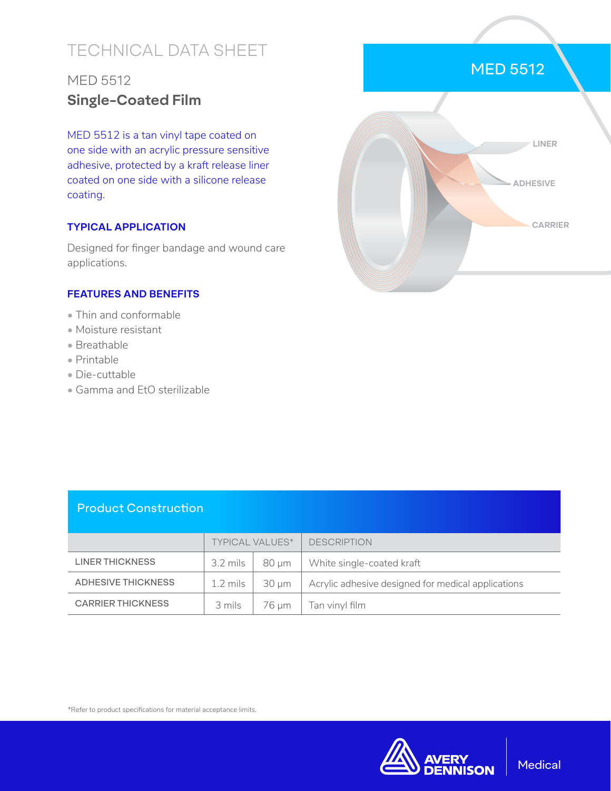# TECHNICAL DATA SHEET

# MED 5512 **Single-Coated Film**

MED 5512 is a tan vinyl tape coated on one side with an acrylic pressure sensitive adhesive, protected by a kraft release liner coated on one side with a silicone release coating.

### **TYPICAL APPLICATION**

Designed for finger bandage and wound care applications.

### **FEATURES AND BENEFITS**

- Thin and conformable
- Moisture resistant
- Breathable
- Printable
- Die-cuttable
- Gamma and EtO sterilizable



## Product Construction

|                          | <b>TYPICAL VALUES*</b> |            | <b>DESCRIPTION</b>                                 |
|--------------------------|------------------------|------------|----------------------------------------------------|
| <b>LINER THICKNESS</b>   | 3.2 mils               | $80 \mu m$ | White single-coated kraft                          |
| ADHESIVE THICKNESS       | 1.2 mils               | 30 um      | Acrylic adhesive designed for medical applications |
| <b>CARRIER THICKNESS</b> | 3 mils                 | 76 um      | Tan vinyl film                                     |

\*Refer to product specifications for material acceptance limits.